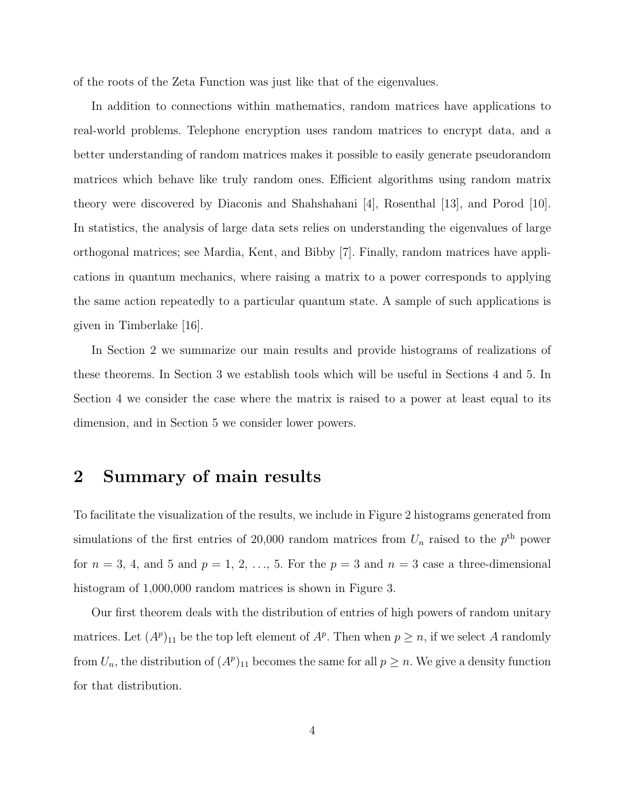of the roots of the Zeta Function was just like that of the eigenvalues.

In addition to connections within mathematics, random matrices have applications to real-world problems. Telephone encryption uses random matrices to encrypt data, and a better understanding of random matrices makes it possible to easily generate pseudorandom matrices which behave like truly random ones. Efficient algorithms using random matrix theory were discovered by Diaconis and Shahshahani [4], Rosenthal [13], and Porod [10]. In statistics, the analysis of large data sets relies on understanding the eigenvalues of large orthogonal matrices; see Mardia, Kent, and Bibby [7]. Finally, random matrices have applications in quantum mechanics, where raising a matrix to a power corresponds to applying the same action repeatedly to a particular quantum state. A sample of such applications is given in Timberlake [16].

In Section 2 we summarize our main results and provide histograms of realizations of these theorems. In Section 3 we establish tools which will be useful in Sections 4 and 5. In Section 4 we consider the case where the matrix is raised to a power at least equal to its dimension, and in Section 5 we consider lower powers.

### 2 Summary of main results

To facilitate the visualization of the results, we include in Figure 2 histograms generated from simulations of the first entries of 20,000 random matrices from  $U_n$  raised to the  $p<sup>th</sup>$  power for  $n = 3, 4$ , and 5 and  $p = 1, 2, \ldots, 5$ . For the  $p = 3$  and  $n = 3$  case a three-dimensional histogram of  $1,000,000$  random matrices is shown in Figure 3.

Our first theorem deals with the distribution of entries of high powers of random unitary matrices. Let  $(A^p)_{11}$  be the top left element of  $A^p$ . Then when  $p \geq n$ , if we select A randomly from  $U_n$ , the distribution of  $(A^p)_{11}$  becomes the same for all  $p \geq n$ . We give a density function for that distribution.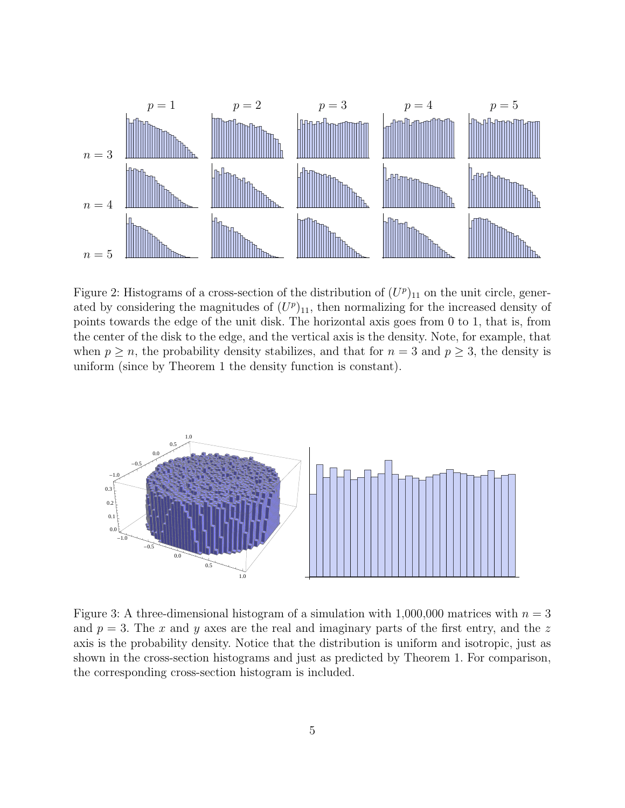

Figure 2: Histograms of a cross-section of the distribution of  $(U^p)_{11}$  on the unit circle, generated by considering the magnitudes of  $(U^p)_{11}$ , then normalizing for the increased density of points towards the edge of the unit disk. The horizontal axis goes from 0 to 1, that is, from the center of the disk to the edge, and the vertical axis is the density. Note, for example, that when  $p \ge n$ , the probability density stabilizes, and that for  $n = 3$  and  $p \ge 3$ , the density is uniform (since by Theorem 1 the density function is constant).



Figure 3: A three-dimensional histogram of a simulation with  $1,000,000$  matrices with  $n = 3$ and  $p = 3$ . The x and y axes are the real and imaginary parts of the first entry, and the z axis is the probability density. Notice that the distribution is uniform and isotropic, just as shown in the cross-section histograms and just as predicted by Theorem 1. For comparison, the corresponding cross-section histogram is included.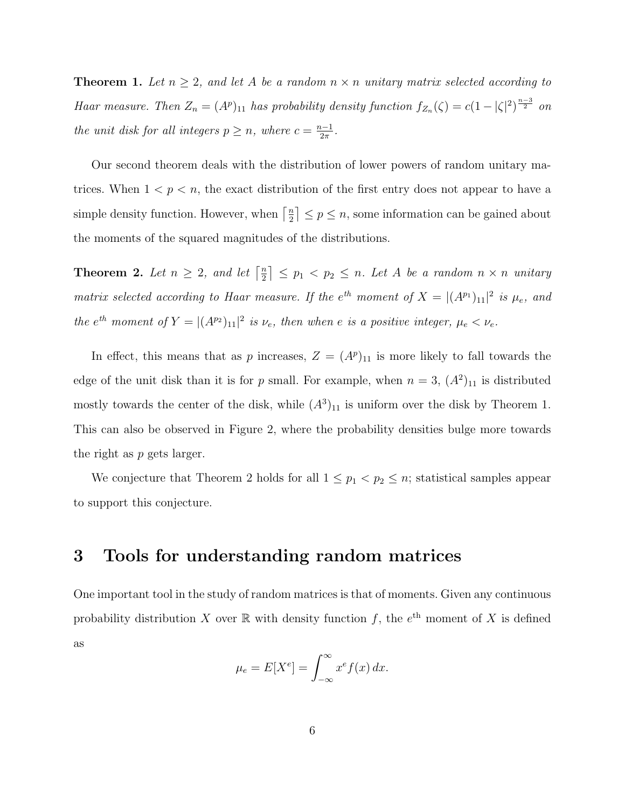**Theorem 1.** Let  $n \geq 2$ , and let A be a random  $n \times n$  unitary matrix selected according to Haar measure. Then  $Z_n = (A^p)_{11}$  has probability density function  $f_{Z_n}(\zeta) = c(1 - |\zeta|^2)^{\frac{n-3}{2}}$  on the unit disk for all integers  $p \geq n$ , where  $c = \frac{n-1}{2\pi}$  $rac{i-1}{2\pi}$ .

Our second theorem deals with the distribution of lower powers of random unitary matrices. When  $1 < p < n$ , the exact distribution of the first entry does not appear to have a simple density function. However, when  $\lceil \frac{n}{2} \rceil$  $\left\lfloor \frac{n}{2} \right\rfloor \leq p \leq n$ , some information can be gained about the moments of the squared magnitudes of the distributions.

**Theorem 2.** Let  $n \geq 2$ , and let  $\lceil \frac{n}{2} \rceil$  $\left\lfloor \frac{n}{2} \right\rfloor \leq p_1 < p_2 \leq n$ . Let A be a random  $n \times n$  unitary matrix selected according to Haar measure. If the  $e^{th}$  moment of  $X = |(A^{p_1})_{11}|^2$  is  $\mu_e$ , and the  $e^{th}$  moment of  $Y = |(A^{p_2})_{11}|^2$  is  $\nu_e$ , then when e is a positive integer,  $\mu_e < \nu_e$ .

In effect, this means that as p increases,  $Z = (A^p)_{11}$  is more likely to fall towards the edge of the unit disk than it is for p small. For example, when  $n = 3$ ,  $(A^2)_{11}$  is distributed mostly towards the center of the disk, while  $(A^3)_{11}$  is uniform over the disk by Theorem 1. This can also be observed in Figure 2, where the probability densities bulge more towards the right as p gets larger.

We conjecture that Theorem 2 holds for all  $1 \leq p_1 < p_2 \leq n$ ; statistical samples appear to support this conjecture.

### 3 Tools for understanding random matrices

One important tool in the study of random matrices is that of moments. Given any continuous probability distribution X over  $\mathbb R$  with density function f, the  $e^{th}$  moment of X is defined as

$$
\mu_e = E[X^e] = \int_{-\infty}^{\infty} x^e f(x) \, dx.
$$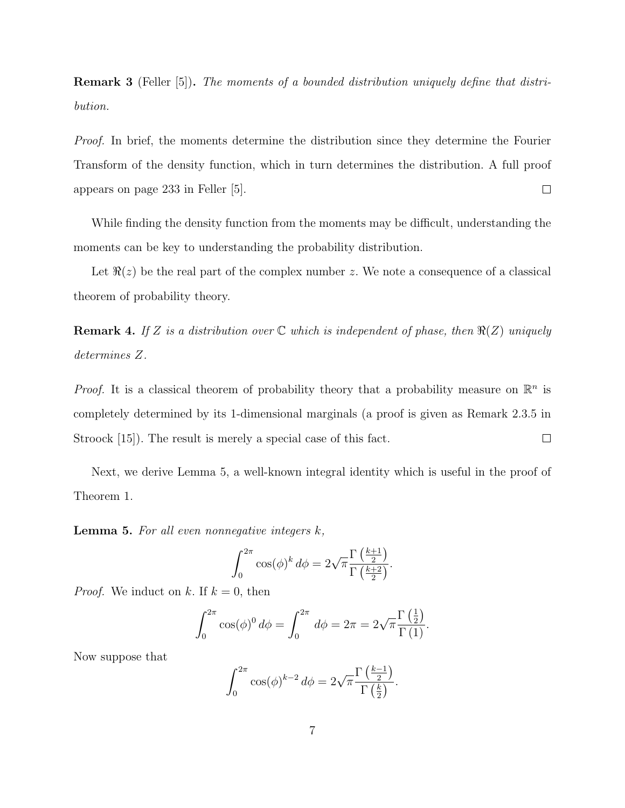**Remark 3** (Feller [5]). The moments of a bounded distribution uniquely define that distribution.

Proof. In brief, the moments determine the distribution since they determine the Fourier Transform of the density function, which in turn determines the distribution. A full proof appears on page 233 in Feller [5].  $\Box$ 

While finding the density function from the moments may be difficult, understanding the moments can be key to understanding the probability distribution.

Let  $\Re(z)$  be the real part of the complex number z. We note a consequence of a classical theorem of probability theory.

**Remark 4.** If Z is a distribution over  $\mathbb C$  which is independent of phase, then  $\Re(Z)$  uniquely determines Z.

*Proof.* It is a classical theorem of probability theory that a probability measure on  $\mathbb{R}^n$  is completely determined by its 1-dimensional marginals (a proof is given as Remark 2.3.5 in  $\Box$ Stroock [15]). The result is merely a special case of this fact.

Next, we derive Lemma 5, a well-known integral identity which is useful in the proof of Theorem 1.

**Lemma 5.** For all even nonnegative integers  $k$ ,

$$
\int_0^{2\pi} \cos(\phi)^k d\phi = 2\sqrt{\pi} \frac{\Gamma\left(\frac{k+1}{2}\right)}{\Gamma\left(\frac{k+2}{2}\right)}.
$$

*Proof.* We induct on k. If  $k = 0$ , then

$$
\int_0^{2\pi} \cos(\phi)^0 d\phi = \int_0^{2\pi} d\phi = 2\pi = 2\sqrt{\pi} \frac{\Gamma\left(\frac{1}{2}\right)}{\Gamma\left(1\right)}.
$$

Now suppose that

$$
\int_0^{2\pi} \cos(\phi)^{k-2} \, d\phi = 2\sqrt{\pi} \frac{\Gamma\left(\frac{k-1}{2}\right)}{\Gamma\left(\frac{k}{2}\right)}.
$$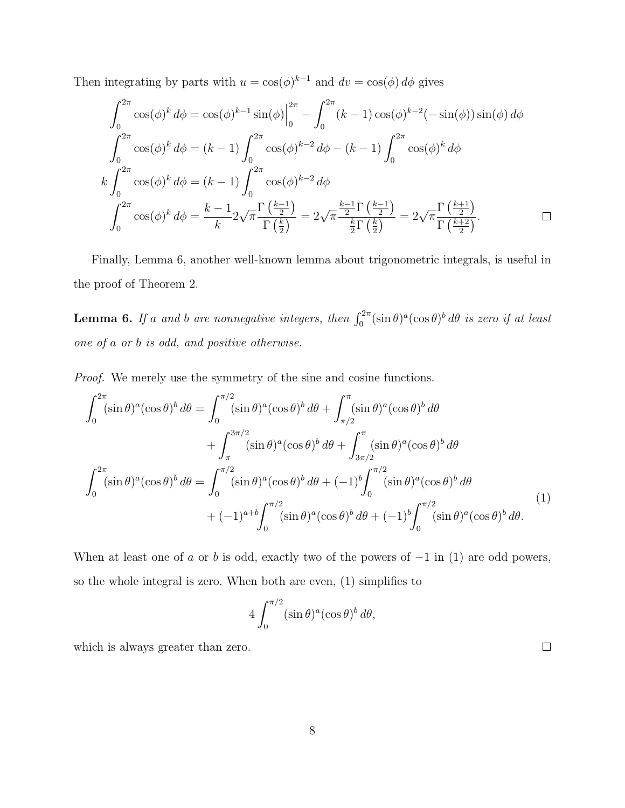Then integrating by parts with  $u = \cos(\phi)^{k-1}$  and  $dv = \cos(\phi) d\phi$  gives

$$
\int_0^{2\pi} \cos(\phi)^k d\phi = \cos(\phi)^{k-1} \sin(\phi) \Big|_0^{2\pi} - \int_0^{2\pi} (k-1) \cos(\phi)^{k-2} (-\sin(\phi)) \sin(\phi) d\phi
$$
  

$$
\int_0^{2\pi} \cos(\phi)^k d\phi = (k-1) \int_0^{2\pi} \cos(\phi)^{k-2} d\phi - (k-1) \int_0^{2\pi} \cos(\phi)^k d\phi
$$
  

$$
k \int_0^{2\pi} \cos(\phi)^k d\phi = (k-1) \int_0^{2\pi} \cos(\phi)^{k-2} d\phi
$$
  

$$
\int_0^{2\pi} \cos(\phi)^k d\phi = \frac{k-1}{k} 2\sqrt{\pi} \frac{\Gamma(\frac{k-1}{2})}{\Gamma(\frac{k}{2})} = 2\sqrt{\pi} \frac{\frac{k-1}{2}\Gamma(\frac{k-1}{2})}{\frac{k}{2}\Gamma(\frac{k}{2})} = 2\sqrt{\pi} \frac{\Gamma(\frac{k+1}{2})}{\Gamma(\frac{k+2}{2})}.
$$

Finally, Lemma 6, another well-known lemma about trigonometric integrals, is useful in the proof of Theorem 2.

**Lemma 6.** If a and b are nonnegative integers, then  $\int_0^{2\pi} (\sin \theta)^a (\cos \theta)^b d\theta$  is zero if at least one of a or b is odd, and positive otherwise.

Proof. We merely use the symmetry of the sine and cosine functions.

$$
\int_0^{2\pi} (\sin \theta)^a (\cos \theta)^b d\theta = \int_0^{\pi/2} (\sin \theta)^a (\cos \theta)^b d\theta + \int_{\pi/2}^{\pi} (\sin \theta)^a (\cos \theta)^b d\theta
$$

$$
+ \int_{\pi}^{3\pi/2} (\sin \theta)^a (\cos \theta)^b d\theta + \int_{3\pi/2}^{\pi} (\sin \theta)^a (\cos \theta)^b d\theta
$$

$$
\int_0^{2\pi} (\sin \theta)^a (\cos \theta)^b d\theta = \int_0^{\pi/2} (\sin \theta)^a (\cos \theta)^b d\theta + (-1)^b \int_0^{\pi/2} (\sin \theta)^a (\cos \theta)^b d\theta
$$

$$
+ (-1)^{a+b} \int_0^{\pi/2} (\sin \theta)^a (\cos \theta)^b d\theta + (-1)^b \int_0^{\pi/2} (\sin \theta)^a (\cos \theta)^b d\theta.
$$
(1)

When at least one of a or b is odd, exactly two of the powers of  $-1$  in (1) are odd powers, so the whole integral is zero. When both are even, (1) simplifies to

$$
4\int_0^{\pi/2}(\sin\theta)^a(\cos\theta)^b\,d\theta,
$$

which is always greater than zero.

 $\Box$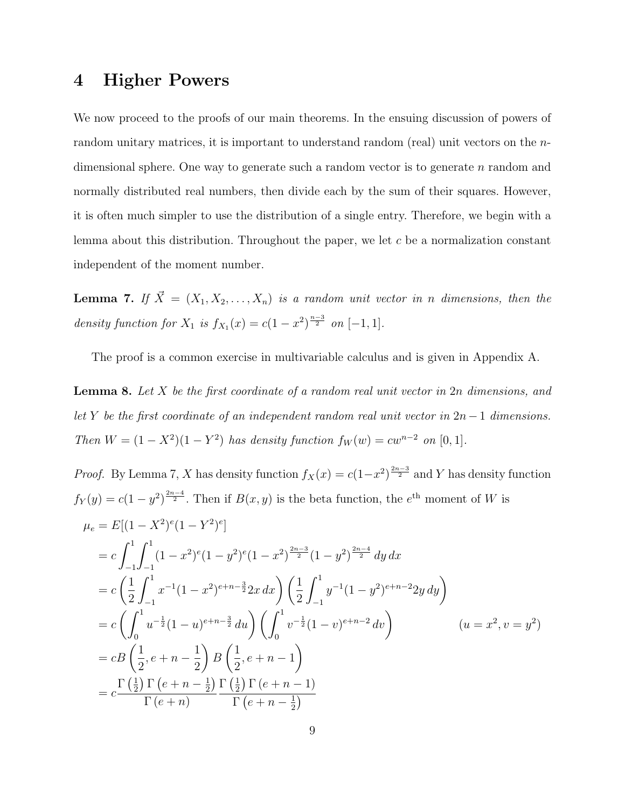## 4 Higher Powers

We now proceed to the proofs of our main theorems. In the ensuing discussion of powers of random unitary matrices, it is important to understand random (real) unit vectors on the ndimensional sphere. One way to generate such a random vector is to generate  $n$  random and normally distributed real numbers, then divide each by the sum of their squares. However, it is often much simpler to use the distribution of a single entry. Therefore, we begin with a lemma about this distribution. Throughout the paper, we let  $c$  be a normalization constant independent of the moment number.

**Lemma 7.** If  $\vec{X} = (X_1, X_2, \ldots, X_n)$  is a random unit vector in n dimensions, then the density function for  $X_1$  is  $f_{X_1}(x) = c(1-x^2)^{\frac{n-3}{2}}$  on  $[-1,1]$ .

The proof is a common exercise in multivariable calculus and is given in Appendix A.

**Lemma 8.** Let  $X$  be the first coordinate of a random real unit vector in  $2n$  dimensions, and let Y be the first coordinate of an independent random real unit vector in  $2n-1$  dimensions. Then  $W = (1 - X^2)(1 - Y^2)$  has density function  $f_W(w) = cw^{n-2}$  on [0, 1].

*Proof.* By Lemma 7, X has density function 
$$
f_X(x) = c(1-x^2)^{\frac{2n-3}{2}}
$$
 and Y has density function  
\n $f_Y(y) = c(1-y^2)^{\frac{2n-4}{2}}$ . Then if  $B(x, y)$  is the beta function, the  $e^{\text{th}}$  moment of W is  
\n
$$
\mu_e = E[(1 - X^2)^e(1 - Y^2)^e]
$$
\n
$$
= c \int_{-1}^1 \int_{-1}^1 (1 - x^2)^e(1 - y^2)^e(1 - x^2)^{\frac{2n-3}{2}}(1 - y^2)^{\frac{2n-4}{2}} dy dx
$$
\n
$$
= c \left(\frac{1}{2} \int_{-1}^1 x^{-1}(1 - x^2)^{e+n-\frac{3}{2}} 2x dx\right) \left(\frac{1}{2} \int_{-1}^1 y^{-1}(1 - y^2)^{e+n-2} 2y dy\right)
$$
\n
$$
= c \left(\int_0^1 u^{-\frac{1}{2}}(1 - u)^{e+n-\frac{3}{2}} du\right) \left(\int_0^1 v^{-\frac{1}{2}}(1 - v)^{e+n-2} dv\right) \qquad (u = x^2, v = y^2)
$$
\n
$$
= cB \left(\frac{1}{2}, e + n - \frac{1}{2}\right) B \left(\frac{1}{2}, e + n - 1\right)
$$
\n
$$
= c \frac{\Gamma\left(\frac{1}{2}\right) \Gamma\left(e+n-\frac{1}{2}\right)}{\Gamma\left(e+n\right)} \frac{\Gamma\left(\frac{1}{2}\right) \Gamma\left(e+n-\frac{1}{2}\right)}{\Gamma\left(e+n-\frac{1}{2}\right)}
$$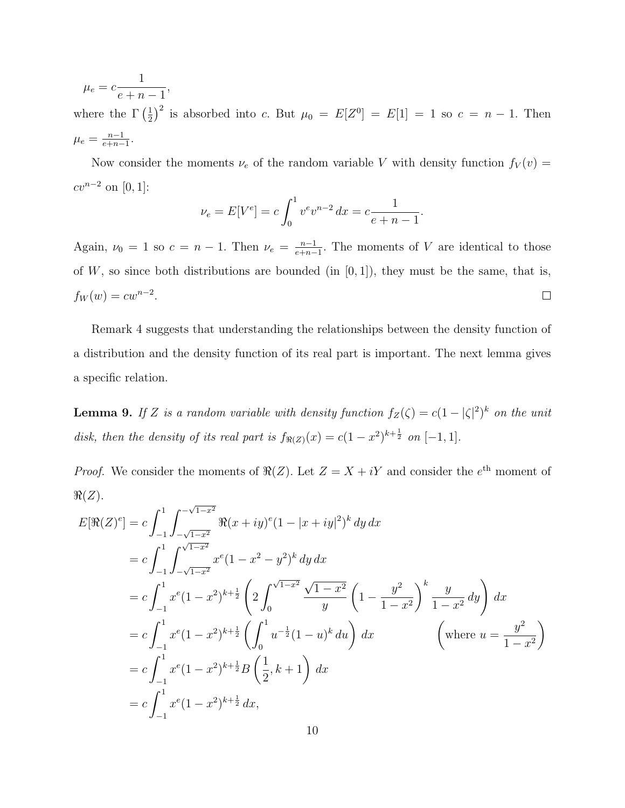$$
\mu_e = c \frac{1}{e + n - 1},
$$

where the  $\Gamma\left(\frac{1}{2}\right)$  $\frac{1}{2}$  is absorbed into c. But  $\mu_0 = E[Z^0] = E[1] = 1$  so  $c = n - 1$ . Then  $\mu_e = \frac{n-1}{e+n-1}$  $\frac{n-1}{e+n-1}$ .

Now consider the moments  $\nu_e$  of the random variable V with density function  $f_V(v)$  =  $cv^{n-2}$  on [0, 1]:

$$
\nu_e = E[V^e] = c \int_0^1 v^e v^{n-2} \, dx = c \frac{1}{e+n-1}.
$$

Again,  $\nu_0 = 1$  so  $c = n - 1$ . Then  $\nu_e = \frac{n-1}{e+n-1}$  $\frac{n-1}{e+n-1}$ . The moments of V are identical to those of  $W$ , so since both distributions are bounded (in  $[0, 1]$ ), they must be the same, that is,  $f_W(w) = cw^{n-2}.$  $\Box$ 

Remark 4 suggests that understanding the relationships between the density function of a distribution and the density function of its real part is important. The next lemma gives a specific relation.

**Lemma 9.** If Z is a random variable with density function  $f_Z(\zeta) = c(1 - |\zeta|^2)^k$  on the unit disk, then the density of its real part is  $f_{\Re(Z)}(x) = c(1-x^2)^{k+\frac{1}{2}}$  on  $[-1, 1]$ .

*Proof.* We consider the moments of  $\Re(Z)$ . Let  $Z = X + iY$  and consider the  $e^{th}$  moment of  $\Re(Z)$ . √

$$
E[\Re(Z)^e] = c \int_{-1}^1 \int_{-\sqrt{1-x^2}}^{-\sqrt{1-x^2}} \Re(x+iy)^e (1-|x+iy|^2)^k \, dy \, dx
$$
  
\n
$$
= c \int_{-1}^1 \int_{-\sqrt{1-x^2}}^{\sqrt{1-x^2}} x^e (1-x^2-y^2)^k \, dy \, dx
$$
  
\n
$$
= c \int_{-1}^1 x^e (1-x^2)^{k+\frac{1}{2}} \left( 2 \int_0^{\sqrt{1-x^2}} \frac{\sqrt{1-x^2}}{y} \left( 1 - \frac{y^2}{1-x^2} \right)^k \frac{y}{1-x^2} \, dy \right) \, dx
$$
  
\n
$$
= c \int_{-1}^1 x^e (1-x^2)^{k+\frac{1}{2}} \left( \int_0^1 u^{-\frac{1}{2}} (1-u)^k \, du \right) \, dx \qquad \left( \text{where } u = \frac{y^2}{1-x^2} \right)
$$
  
\n
$$
= c \int_{-1}^1 x^e (1-x^2)^{k+\frac{1}{2}} B\left(\frac{1}{2}, k+1\right) \, dx
$$
  
\n
$$
= c \int_{-1}^1 x^e (1-x^2)^{k+\frac{1}{2}} \, dx,
$$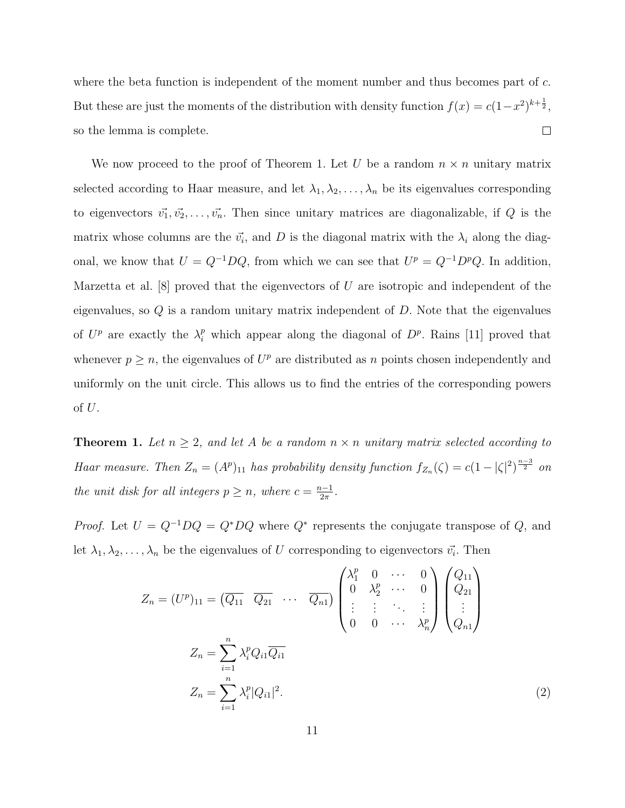where the beta function is independent of the moment number and thus becomes part of  $c$ . But these are just the moments of the distribution with density function  $f(x) = c(1-x^2)^{k+\frac{1}{2}}$ ,  $\Box$ so the lemma is complete.

We now proceed to the proof of Theorem 1. Let U be a random  $n \times n$  unitary matrix selected according to Haar measure, and let  $\lambda_1, \lambda_2, \ldots, \lambda_n$  be its eigenvalues corresponding to eigenvectors  $\vec{v_1}, \vec{v_2}, \ldots, \vec{v_n}$ . Then since unitary matrices are diagonalizable, if Q is the matrix whose columns are the  $\vec{v_i}$ , and D is the diagonal matrix with the  $\lambda_i$  along the diagonal, we know that  $U = Q^{-1}DQ$ , from which we can see that  $U^p = Q^{-1}D^pQ$ . In addition, Marzetta et al.  $[8]$  proved that the eigenvectors of U are isotropic and independent of the eigenvalues, so  $Q$  is a random unitary matrix independent of  $D$ . Note that the eigenvalues of  $U^p$  are exactly the  $\lambda_i^p$  which appear along the diagonal of  $D^p$ . Rains [11] proved that whenever  $p \geq n$ , the eigenvalues of  $U^p$  are distributed as n points chosen independently and uniformly on the unit circle. This allows us to find the entries of the corresponding powers of U.

**Theorem 1.** Let  $n \geq 2$ , and let A be a random  $n \times n$  unitary matrix selected according to Haar measure. Then  $Z_n = (A^p)_{11}$  has probability density function  $f_{Z_n}(\zeta) = c(1 - |\zeta|^2)^{\frac{n-3}{2}}$  on the unit disk for all integers  $p \geq n$ , where  $c = \frac{n-1}{2\pi}$  $rac{i-1}{2\pi}$ .

*Proof.* Let  $U = Q^{-1}DQ = Q^*DQ$  where  $Q^*$  represents the conjugate transpose of Q, and let  $\lambda_1, \lambda_2, \ldots, \lambda_n$  be the eigenvalues of U corresponding to eigenvectors  $\vec{v_i}$ . Then

$$
Z_n = (U^p)_{11} = \left(\overline{Q_{11}} \quad \overline{Q_{21}} \quad \cdots \quad \overline{Q_{n1}}\right) \begin{pmatrix} \lambda_1^p & 0 & \cdots & 0 \\ 0 & \lambda_2^p & \cdots & 0 \\ \vdots & \vdots & \ddots & \vdots \\ 0 & 0 & \cdots & \lambda_n^p \end{pmatrix} \begin{pmatrix} Q_{11} \\ Q_{21} \\ \vdots \\ Q_{n1} \end{pmatrix}
$$

$$
Z_n = \sum_{i=1}^n \lambda_i^p |Q_{i1}|^2.
$$
(2)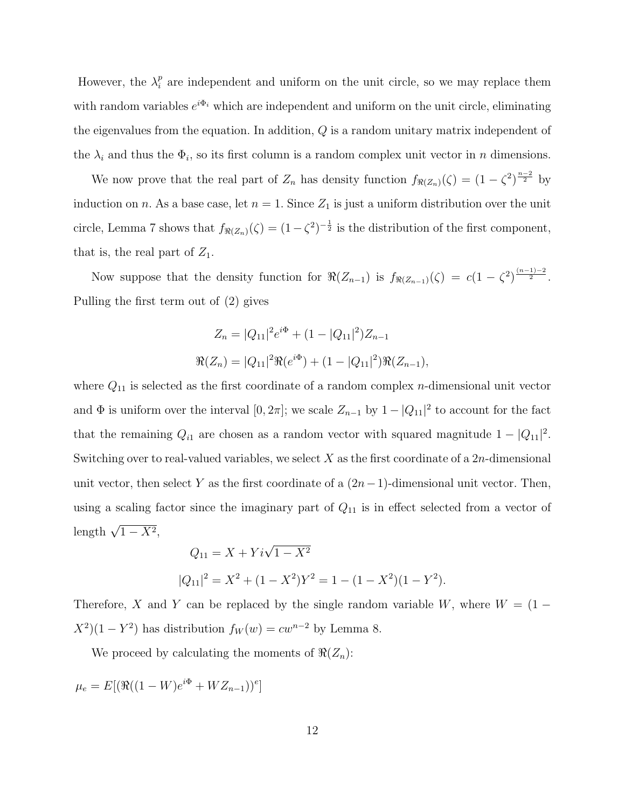However, the  $\lambda_i^p$  $\frac{p}{i}$  are independent and uniform on the unit circle, so we may replace them with random variables  $e^{i\Phi_i}$  which are independent and uniform on the unit circle, eliminating the eigenvalues from the equation. In addition, Q is a random unitary matrix independent of the  $\lambda_i$  and thus the  $\Phi_i$ , so its first column is a random complex unit vector in n dimensions.

We now prove that the real part of  $Z_n$  has density function  $f_{\Re(Z_n)}(\zeta) = (1 - \zeta^2)^{\frac{n-2}{2}}$  by induction on n. As a base case, let  $n = 1$ . Since  $Z_1$  is just a uniform distribution over the unit circle, Lemma 7 shows that  $f_{\Re(Z_n)}(\zeta) = (1 - \zeta^2)^{-\frac{1}{2}}$  is the distribution of the first component, that is, the real part of  $Z_1$ .

Now suppose that the density function for  $\Re(Z_{n-1})$  is  $f_{\Re(Z_{n-1})}(\zeta) = c(1 - \zeta^2)^{\frac{(n-1)-2}{2}}$ . Pulling the first term out of (2) gives

$$
Z_n = |Q_{11}|^2 e^{i\Phi} + (1 - |Q_{11}|^2) Z_{n-1}
$$

$$
\Re(Z_n) = |Q_{11}|^2 \Re(e^{i\Phi}) + (1 - |Q_{11}|^2) \Re(Z_{n-1}),
$$

where  $Q_{11}$  is selected as the first coordinate of a random complex *n*-dimensional unit vector and  $\Phi$  is uniform over the interval  $[0, 2\pi]$ ; we scale  $Z_{n-1}$  by  $1 - |Q_{11}|^2$  to account for the fact that the remaining  $Q_{i1}$  are chosen as a random vector with squared magnitude  $1 - |Q_{11}|^2$ . Switching over to real-valued variables, we select  $X$  as the first coordinate of a  $2n$ -dimensional unit vector, then select Y as the first coordinate of a  $(2n-1)$ -dimensional unit vector. Then, using a scaling factor since the imaginary part of  $Q_{11}$  is in effect selected from a vector of length  $\sqrt{1-X^2}$ ,

$$
Q_{11} = X + Yi\sqrt{1 - X^2}
$$
  

$$
|Q_{11}|^2 = X^2 + (1 - X^2)Y^2 = 1 - (1 - X^2)(1 - Y^2).
$$

Therefore, X and Y can be replaced by the single random variable W, where  $W = (1 X^2(1 - Y^2)$  has distribution  $f_W(w) = cw^{n-2}$  by Lemma 8.

We proceed by calculating the moments of  $\Re(Z_n)$ :

$$
\mu_e = E[(\Re((1 - W)e^{i\Phi} + W Z_{n-1}))^e]
$$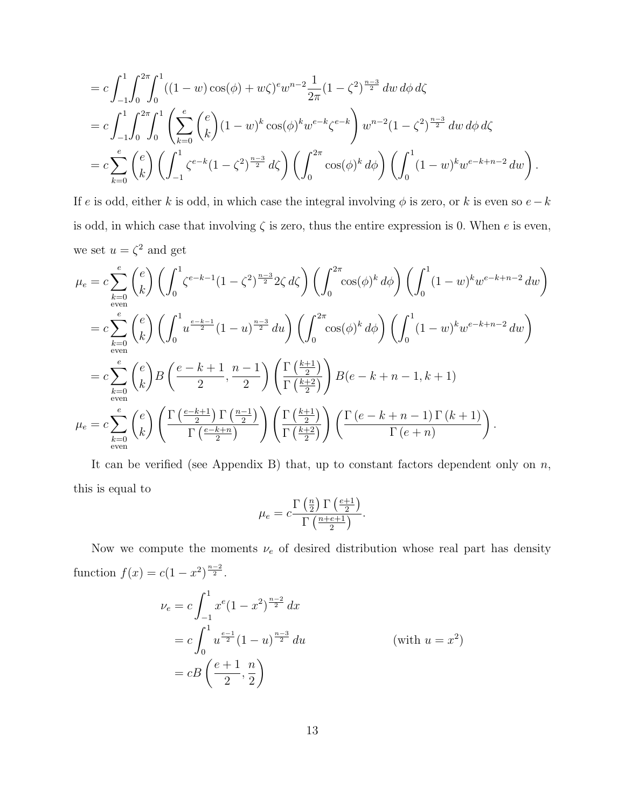$$
= c \int_{-1}^{1} \int_{0}^{2\pi} \int_{0}^{1} ((1 - w) \cos(\phi) + w\zeta)^{e} w^{n-2} \frac{1}{2\pi} (1 - \zeta^{2})^{\frac{n-3}{2}} dw d\phi d\zeta
$$
  
\n
$$
= c \int_{-1}^{1} \int_{0}^{2\pi} \int_{0}^{1} \left( \sum_{k=0}^{e} {e \choose k} (1 - w)^{k} \cos(\phi)^{k} w^{e-k} \zeta^{e-k} \right) w^{n-2} (1 - \zeta^{2})^{\frac{n-3}{2}} dw d\phi d\zeta
$$
  
\n
$$
= c \sum_{k=0}^{e} {e \choose k} \left( \int_{-1}^{1} \zeta^{e-k} (1 - \zeta^{2})^{\frac{n-3}{2}} d\zeta \right) \left( \int_{0}^{2\pi} \cos(\phi)^{k} d\phi \right) \left( \int_{0}^{1} (1 - w)^{k} w^{e-k+n-2} dw \right).
$$

If e is odd, either k is odd, in which case the integral involving  $\phi$  is zero, or k is even so  $e-k$ is odd, in which case that involving  $\zeta$  is zero, thus the entire expression is 0. When e is even, we set  $u = \zeta^2$  and get

$$
\mu_e = c \sum_{k=0}^e \binom{e}{k} \left( \int_0^1 \zeta^{e-k-1} (1-\zeta^2)^{\frac{n-3}{2}} 2\zeta d\zeta \right) \left( \int_0^{2\pi} \cos(\phi)^k d\phi \right) \left( \int_0^1 (1-w)^k w^{e-k+n-2} dw \right)
$$
  
\n
$$
= c \sum_{k=0}^e \binom{e}{k} \left( \int_0^1 u^{\frac{e-k-1}{2}} (1-u)^{\frac{n-3}{2}} du \right) \left( \int_0^{2\pi} \cos(\phi)^k d\phi \right) \left( \int_0^1 (1-w)^k w^{e-k+n-2} dw \right)
$$
  
\n
$$
= c \sum_{k=0}^e \binom{e}{k} B \left( \frac{e-k+1}{2}, \frac{n-1}{2} \right) \left( \frac{\Gamma(\frac{k+1}{2})}{\Gamma(\frac{k+2}{2})} \right) B(e-k+n-1, k+1)
$$
  
\n
$$
\mu_e = c \sum_{k=0}^e \binom{e}{k} \left( \frac{\Gamma(\frac{e-k+1}{2}) \Gamma(\frac{n-1}{2})}{\Gamma(\frac{e-k+n}{2})} \right) \left( \frac{\Gamma(\frac{k+1}{2})}{\Gamma(\frac{k+2}{2})} \right) \left( \frac{\Gamma(e-k+n-1) \Gamma(k+1)}{\Gamma(e+n)} \right).
$$

It can be verified (see Appendix B) that, up to constant factors dependent only on  $n$ , this is equal to

$$
\mu_e = c \frac{\Gamma\left(\frac{n}{2}\right) \Gamma\left(\frac{e+1}{2}\right)}{\Gamma\left(\frac{n+e+1}{2}\right)}.
$$

Now we compute the moments  $\nu_e$  of desired distribution whose real part has density function  $f(x) = c(1 - x^2)^{\frac{n-2}{2}}$ .

$$
\nu_e = c \int_{-1}^1 x^e (1 - x^2)^{\frac{n-2}{2}} dx
$$
  
=  $c \int_0^1 u^{\frac{e-1}{2}} (1 - u)^{\frac{n-3}{2}} du$  (with  $u = x^2$ )  
=  $cB\left(\frac{e+1}{2}, \frac{n}{2}\right)$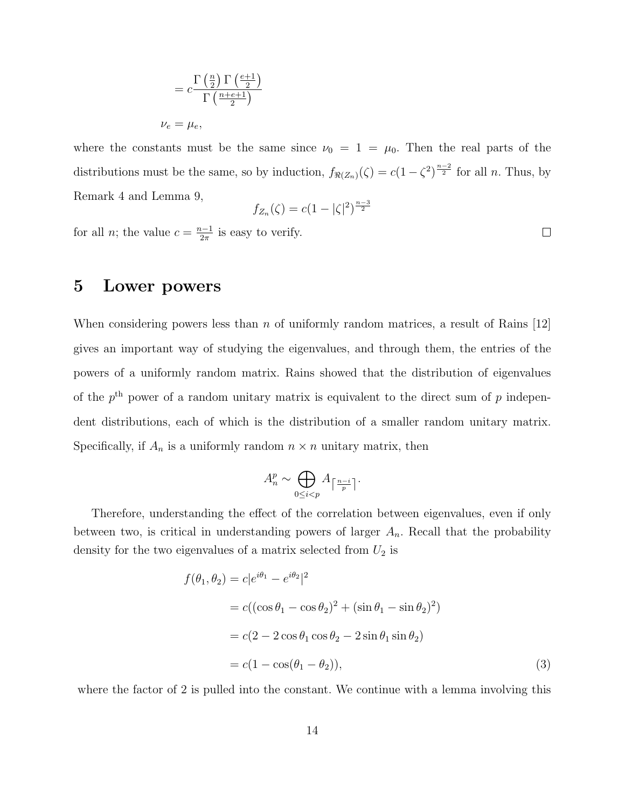$$
= c \frac{\Gamma\left(\frac{n}{2}\right) \Gamma\left(\frac{e+1}{2}\right)}{\Gamma\left(\frac{n+e+1}{2}\right)}
$$

$$
\nu_e = \mu_e,
$$

where the constants must be the same since  $\nu_0 = 1 = \mu_0$ . Then the real parts of the distributions must be the same, so by induction,  $f_{\Re(Z_n)}(\zeta) = c(1 - \zeta^2)^{\frac{n-2}{2}}$  for all n. Thus, by Remark 4 and Lemma 9, n−3

$$
f_{Z_n}(\zeta) = c(1 - |\zeta|^2)^{\frac{n-3}{2}}
$$

for all *n*; the value  $c = \frac{n-1}{2\pi}$  $\frac{1}{2\pi}$  is easy to verify.

## 5 Lower powers

When considering powers less than  $n$  of uniformly random matrices, a result of Rains [12] gives an important way of studying the eigenvalues, and through them, the entries of the powers of a uniformly random matrix. Rains showed that the distribution of eigenvalues of the  $p<sup>th</sup>$  power of a random unitary matrix is equivalent to the direct sum of p independent distributions, each of which is the distribution of a smaller random unitary matrix. Specifically, if  $A_n$  is a uniformly random  $n \times n$  unitary matrix, then

$$
A_n^p \sim \bigoplus_{0 \le i < p} A_{\left\lceil \frac{n-i}{p} \right\rceil}.
$$

Therefore, understanding the effect of the correlation between eigenvalues, even if only between two, is critical in understanding powers of larger  $A_n$ . Recall that the probability density for the two eigenvalues of a matrix selected from  $U_2$  is

$$
f(\theta_1, \theta_2) = c|e^{i\theta_1} - e^{i\theta_2}|^2
$$
  
=  $c((\cos \theta_1 - \cos \theta_2)^2 + (\sin \theta_1 - \sin \theta_2)^2)$   
=  $c(2 - 2\cos \theta_1 \cos \theta_2 - 2\sin \theta_1 \sin \theta_2)$   
=  $c(1 - \cos(\theta_1 - \theta_2)),$  (3)

where the factor of 2 is pulled into the constant. We continue with a lemma involving this

 $\Box$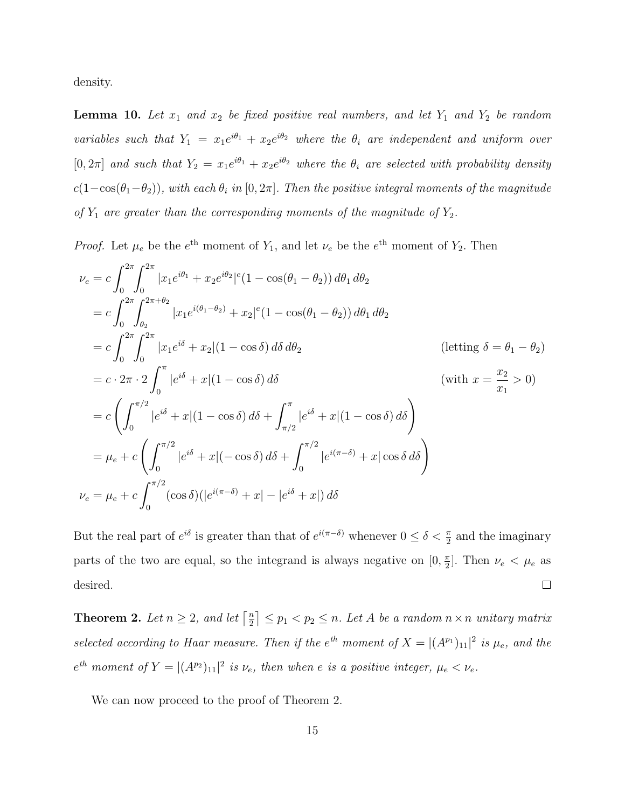density.

**Lemma 10.** Let  $x_1$  and  $x_2$  be fixed positive real numbers, and let  $Y_1$  and  $Y_2$  be random variables such that  $Y_1 = x_1 e^{i\theta_1} + x_2 e^{i\theta_2}$  where the  $\theta_i$  are independent and uniform over [0, 2 $\pi$ ] and such that  $Y_2 = x_1 e^{i\theta_1} + x_2 e^{i\theta_2}$  where the  $\theta_i$  are selected with probability density  $c(1-\cos(\theta_1-\theta_2))$ , with each  $\theta_i$  in  $[0, 2\pi]$ . Then the positive integral moments of the magnitude of  $Y_1$  are greater than the corresponding moments of the magnitude of  $Y_2$ .

*Proof.* Let  $\mu_e$  be the  $e^{\text{th}}$  moment of  $Y_1$ , and let  $\nu_e$  be the  $e^{\text{th}}$  moment of  $Y_2$ . Then

$$
\nu_e = c \int_0^{2\pi} \int_0^{2\pi} |x_1 e^{i\theta_1} + x_2 e^{i\theta_2}|^e (1 - \cos(\theta_1 - \theta_2)) d\theta_1 d\theta_2
$$
  
\n
$$
= c \int_0^{2\pi} \int_{\theta_2}^{2\pi + \theta_2} |x_1 e^{i(\theta_1 - \theta_2)} + x_2|^e (1 - \cos(\theta_1 - \theta_2)) d\theta_1 d\theta_2
$$
  
\n
$$
= c \int_0^{2\pi} \int_0^{2\pi} |x_1 e^{i\delta} + x_2| (1 - \cos \delta) d\delta d\theta_2
$$
 (letting  $\delta = \theta_1 - \theta_2$ )  
\n
$$
= c \cdot 2\pi \cdot 2 \int_0^{\pi} |e^{i\delta} + x| (1 - \cos \delta) d\delta
$$
 (with  $x = \frac{x_2}{x_1} > 0$ )  
\n
$$
= c \left( \int_0^{\pi/2} |e^{i\delta} + x| (1 - \cos \delta) d\delta + \int_{\pi/2}^{\pi} |e^{i\delta} + x| (1 - \cos \delta) d\delta \right)
$$
  
\n
$$
= \mu_e + c \left( \int_0^{\pi/2} |e^{i\delta} + x| (-\cos \delta) d\delta + \int_0^{\pi/2} |e^{i(\pi - \delta)} + x| \cos \delta d\delta \right)
$$
  
\n
$$
\nu_e = \mu_e + c \int_0^{\pi/2} (\cos \delta)(|e^{i(\pi - \delta)} + x| - |e^{i\delta} + x|) d\delta
$$

But the real part of  $e^{i\delta}$  is greater than that of  $e^{i(\pi-\delta)}$  whenever  $0 \le \delta < \frac{\pi}{2}$  and the imaginary parts of the two are equal, so the integrand is always negative on  $[0, \frac{\pi}{2}]$  $\frac{\pi}{2}$ . Then  $\nu_e < \mu_e$  as  $\Box$ desired.

**Theorem 2.** Let  $n \geq 2$ , and let  $\lceil \frac{n}{2} \rceil$  $\lfloor \frac{n}{2} \rfloor \leq p_1 < p_2 \leq n$ . Let A be a random  $n \times n$  unitary matrix selected according to Haar measure. Then if the  $e^{th}$  moment of  $X = |(A^{p_1})_{11}|^2$  is  $\mu_e$ , and the  $e^{th}$  moment of  $Y = |(A^{p_2})_{11}|^2$  is  $\nu_e$ , then when e is a positive integer,  $\mu_e < \nu_e$ .

We can now proceed to the proof of Theorem 2.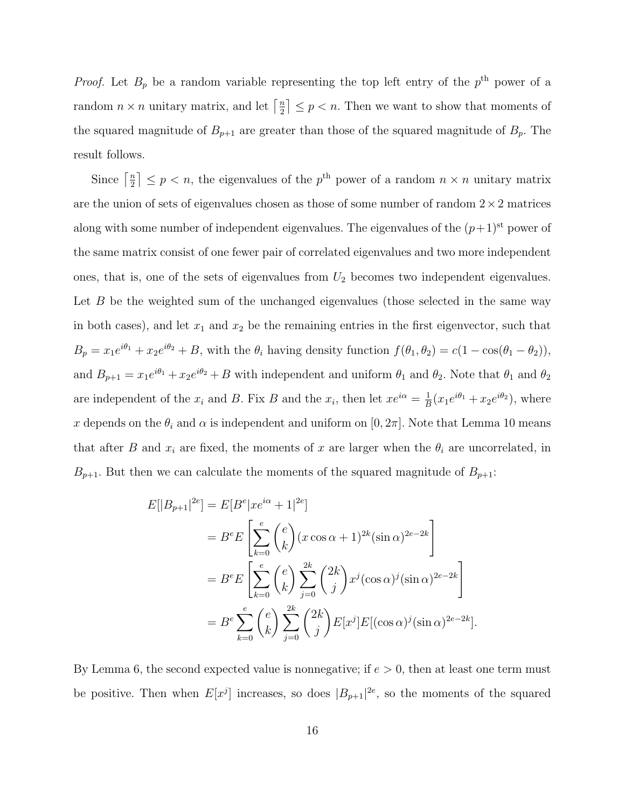*Proof.* Let  $B_p$  be a random variable representing the top left entry of the  $p<sup>th</sup>$  power of a random  $n \times n$  unitary matrix, and let  $\lceil \frac{n}{2} \rceil$  $\left\lfloor \frac{n}{2} \right\rfloor \leq p < n$ . Then we want to show that moments of the squared magnitude of  $B_{p+1}$  are greater than those of the squared magnitude of  $B_p$ . The result follows.

Since  $\lceil \frac{n}{2} \rceil$  $\left\lfloor \frac{n}{2} \right\rfloor \leq p < n$ , the eigenvalues of the  $p^{\text{th}}$  power of a random  $n \times n$  unitary matrix are the union of sets of eigenvalues chosen as those of some number of random  $2 \times 2$  matrices along with some number of independent eigenvalues. The eigenvalues of the  $(p+1)$ <sup>st</sup> power of the same matrix consist of one fewer pair of correlated eigenvalues and two more independent ones, that is, one of the sets of eigenvalues from  $U_2$  becomes two independent eigenvalues. Let  $B$  be the weighted sum of the unchanged eigenvalues (those selected in the same way in both cases), and let  $x_1$  and  $x_2$  be the remaining entries in the first eigenvector, such that  $B_p = x_1 e^{i\theta_1} + x_2 e^{i\theta_2} + B$ , with the  $\theta_i$  having density function  $f(\theta_1, \theta_2) = c(1 - \cos(\theta_1 - \theta_2))$ , and  $B_{p+1} = x_1 e^{i\theta_1} + x_2 e^{i\theta_2} + B$  with independent and uniform  $\theta_1$  and  $\theta_2$ . Note that  $\theta_1$  and  $\theta_2$ are independent of the  $x_i$  and B. Fix B and the  $x_i$ , then let  $xe^{i\alpha} = \frac{1}{B}$  $\frac{1}{B}(x_1e^{i\theta_1}+x_2e^{i\theta_2}),$  where x depends on the  $\theta_i$  and  $\alpha$  is independent and uniform on [0, 2π]. Note that Lemma 10 means that after B and  $x_i$  are fixed, the moments of x are larger when the  $\theta_i$  are uncorrelated, in  $B_{p+1}$ . But then we can calculate the moments of the squared magnitude of  $B_{p+1}$ :

$$
E[|B_{p+1}|^{2e}] = E[B^e | xe^{i\alpha} + 1|^{2e}]
$$
  
=  $B^e E\left[\sum_{k=0}^e {e \choose k} (x \cos \alpha + 1)^{2k} (\sin \alpha)^{2e-2k}\right]$   
=  $B^e E\left[\sum_{k=0}^e {e \choose k} \sum_{j=0}^{2k} {2k \choose j} x^j (\cos \alpha)^j (\sin \alpha)^{2e-2k}\right]$   
=  $B^e \sum_{k=0}^e {e \choose k} \sum_{j=0}^{2k} {2k \choose j} E[x^j] E[(\cos \alpha)^j (\sin \alpha)^{2e-2k}].$ 

By Lemma 6, the second expected value is nonnegative; if  $e > 0$ , then at least one term must be positive. Then when  $E[x^j]$  increases, so does  $|B_{p+1}|^{2e}$ , so the moments of the squared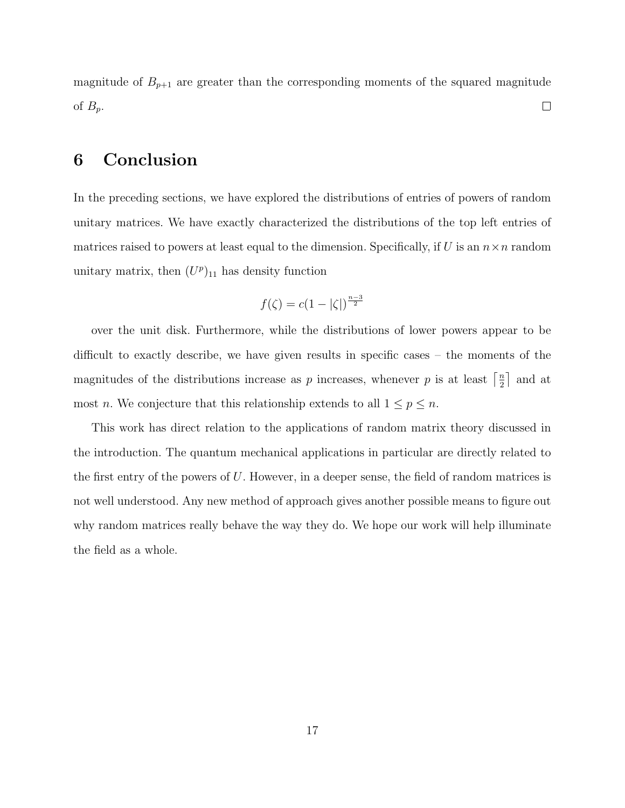magnitude of  $B_{p+1}$  are greater than the corresponding moments of the squared magnitude of  $B_p$ .  $\Box$ 

# 6 Conclusion

In the preceding sections, we have explored the distributions of entries of powers of random unitary matrices. We have exactly characterized the distributions of the top left entries of matrices raised to powers at least equal to the dimension. Specifically, if U is an  $n \times n$  random unitary matrix, then  $(U^p)_{11}$  has density function

$$
f(\zeta) = c(1 - |\zeta|)^{\frac{n-3}{2}}
$$

over the unit disk. Furthermore, while the distributions of lower powers appear to be difficult to exactly describe, we have given results in specific cases – the moments of the magnitudes of the distributions increase as p increases, whenever p is at least  $\lceil \frac{n}{2} \rceil$  $\frac{n}{2}$  and at most *n*. We conjecture that this relationship extends to all  $1 \leq p \leq n$ .

This work has direct relation to the applications of random matrix theory discussed in the introduction. The quantum mechanical applications in particular are directly related to the first entry of the powers of  $U$ . However, in a deeper sense, the field of random matrices is not well understood. Any new method of approach gives another possible means to figure out why random matrices really behave the way they do. We hope our work will help illuminate the field as a whole.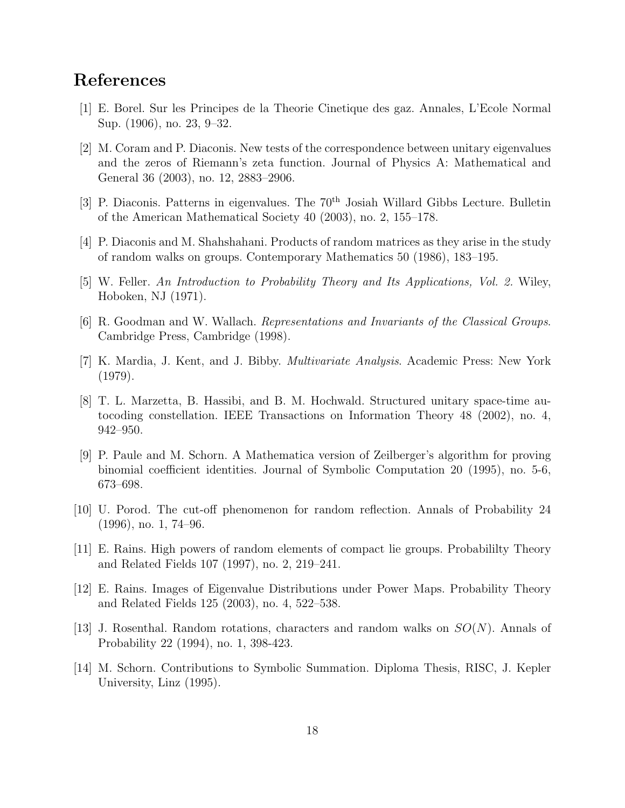# References

- [1] E. Borel. Sur les Principes de la Theorie Cinetique des gaz. Annales, L'Ecole Normal Sup. (1906), no. 23, 9–32.
- [2] M. Coram and P. Diaconis. New tests of the correspondence between unitary eigenvalues and the zeros of Riemann's zeta function. Journal of Physics A: Mathematical and General 36 (2003), no. 12, 2883–2906.
- [3] P. Diaconis. Patterns in eigenvalues. The 70<sup>th</sup> Josiah Willard Gibbs Lecture. Bulletin of the American Mathematical Society 40 (2003), no. 2, 155–178.
- [4] P. Diaconis and M. Shahshahani. Products of random matrices as they arise in the study of random walks on groups. Contemporary Mathematics 50 (1986), 183–195.
- [5] W. Feller. An Introduction to Probability Theory and Its Applications, Vol. 2. Wiley, Hoboken, NJ (1971).
- [6] R. Goodman and W. Wallach. Representations and Invariants of the Classical Groups. Cambridge Press, Cambridge (1998).
- [7] K. Mardia, J. Kent, and J. Bibby. Multivariate Analysis. Academic Press: New York (1979).
- [8] T. L. Marzetta, B. Hassibi, and B. M. Hochwald. Structured unitary space-time autocoding constellation. IEEE Transactions on Information Theory 48 (2002), no. 4, 942–950.
- [9] P. Paule and M. Schorn. A Mathematica version of Zeilberger's algorithm for proving binomial coefficient identities. Journal of Symbolic Computation 20 (1995), no. 5-6, 673–698.
- [10] U. Porod. The cut-off phenomenon for random reflection. Annals of Probability 24 (1996), no. 1, 74–96.
- [11] E. Rains. High powers of random elements of compact lie groups. Probabililty Theory and Related Fields 107 (1997), no. 2, 219–241.
- [12] E. Rains. Images of Eigenvalue Distributions under Power Maps. Probability Theory and Related Fields 125 (2003), no. 4, 522–538.
- [13] J. Rosenthal. Random rotations, characters and random walks on  $SO(N)$ . Annals of Probability 22 (1994), no. 1, 398-423.
- [14] M. Schorn. Contributions to Symbolic Summation. Diploma Thesis, RISC, J. Kepler University, Linz (1995).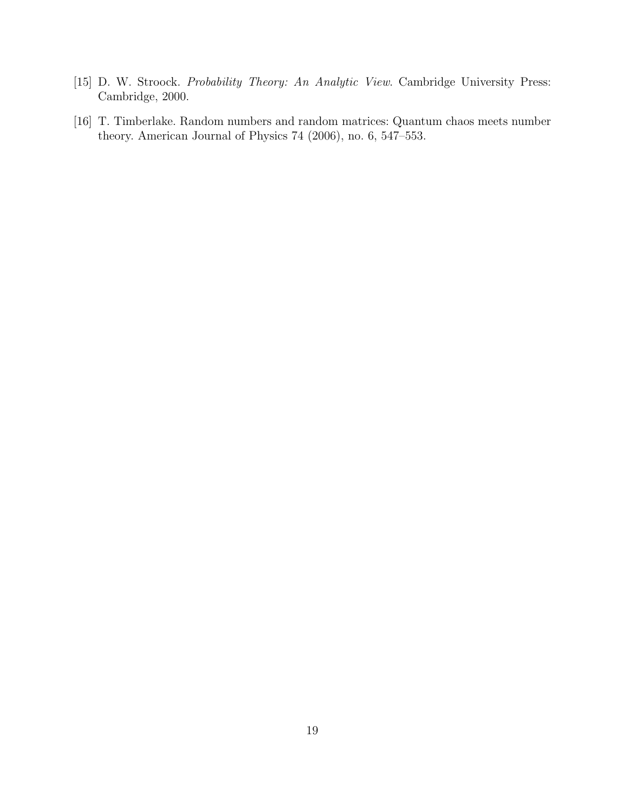- [15] D. W. Stroock. Probability Theory: An Analytic View. Cambridge University Press: Cambridge, 2000.
- [16] T. Timberlake. Random numbers and random matrices: Quantum chaos meets number theory. American Journal of Physics 74 (2006), no. 6, 547–553.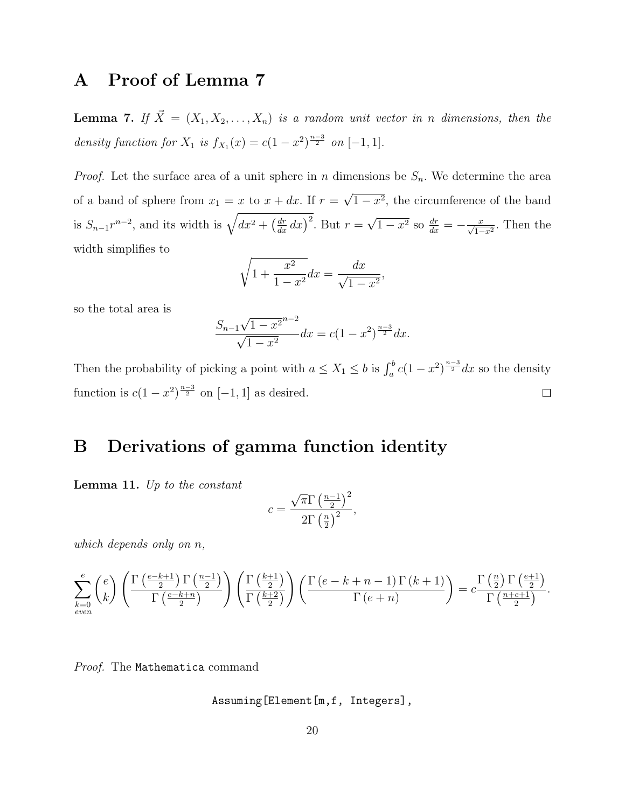# A Proof of Lemma 7

**Lemma 7.** If  $\vec{X} = (X_1, X_2, \ldots, X_n)$  is a random unit vector in n dimensions, then the density function for  $X_1$  is  $f_{X_1}(x) = c(1-x^2)^{\frac{n-3}{2}}$  on  $[-1,1]$ .

*Proof.* Let the surface area of a unit sphere in n dimensions be  $S_n$ . We determine the area of a band of sphere from  $x_1 = x$  to  $x + dx$ . If  $r =$ √  $1-x^2$ , the circumference of the band is  $S_{n-1}r^{n-2}$ , and its width is  $\sqrt{dx^2 + \left(\frac{dr}{dx}dx\right)^2}$ . But  $r =$ √  $\overline{1-x^2}$  so  $\frac{dr}{dx}=-\frac{x}{\sqrt{1-x^2}}$ . Then the width simplifies to

$$
\sqrt{1 + \frac{x^2}{1 - x^2}} dx = \frac{dx}{\sqrt{1 - x^2}},
$$

so the total area is

$$
\frac{S_{n-1}\sqrt{1-x^2}^{n-2}}{\sqrt{1-x^2}}dx = c(1-x^2)^{\frac{n-3}{2}}dx.
$$

Then the probability of picking a point with  $a \leq X_1 \leq b$  is  $\int_a^b c(1-x^2)^{\frac{n-3}{2}} dx$  so the density function is  $c(1-x^2)^{\frac{n-3}{2}}$  on  $[-1,1]$  as desired.  $\Box$ 

# B Derivations of gamma function identity

**Lemma 11.** Up to the constant

$$
c = \frac{\sqrt{\pi} \Gamma \left(\frac{n-1}{2}\right)^2}{2 \Gamma \left(\frac{n}{2}\right)^2},
$$

which depends only on n,

$$
\sum_{k=0}^{e} \binom{e}{k} \left( \frac{\Gamma\left(\frac{e-k+1}{2}\right) \Gamma\left(\frac{n-1}{2}\right)}{\Gamma\left(\frac{e-k+n}{2}\right)} \right) \left( \frac{\Gamma\left(\frac{k+1}{2}\right)}{\Gamma\left(\frac{k+2}{2}\right)} \right) \left( \frac{\Gamma\left(e-k+n-1\right) \Gamma\left(k+1\right)}{\Gamma\left(e+n\right)} \right) = c \frac{\Gamma\left(\frac{n}{2}\right) \Gamma\left(\frac{e+1}{2}\right)}{\Gamma\left(\frac{n+e+1}{2}\right)}.
$$

Proof. The Mathematica command

Assuming[Element[m,f, Integers],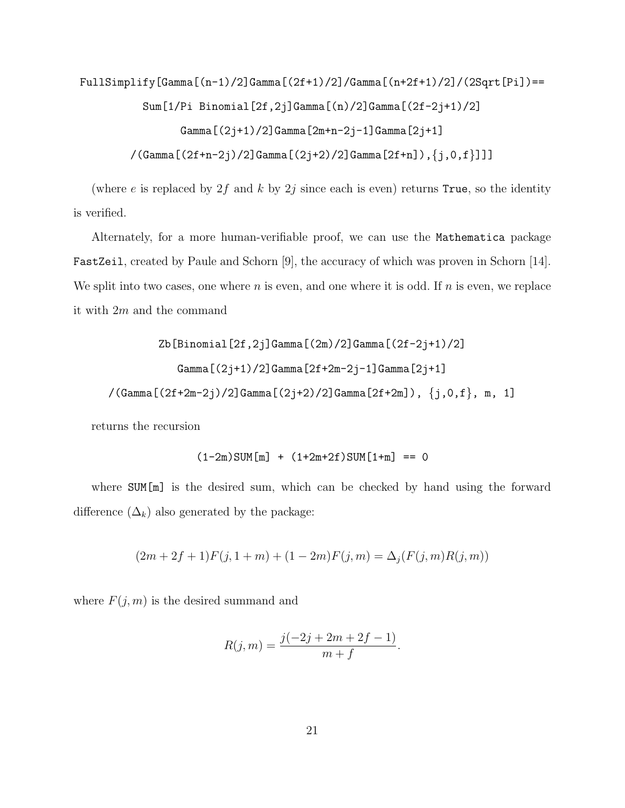FullSimplify[Gamma[(n-1)/2]Gamma[(2f+1)/2]/Gamma[(n+2f+1)/2]/(2Sqrt[Pi])==

Sum[1/Pi Binomial[2f,2j]Gamma[(n)/2]Gamma[(2f-2j+1)/2]

```
Gamma[(2j+1)/2]Gamma[2m+n-2j-1]Gamma[2j+1]
```
 $/(Gamma[(2f+n-2j)/2]$ Gamma $[(2j+2)/2]$ Gamma $[2f+n]$ ), ${j, 0, f}$ ]]]

(where e is replaced by  $2f$  and k by  $2j$  since each is even) returns True, so the identity is verified.

Alternately, for a more human-verifiable proof, we can use the Mathematica package FastZeil, created by Paule and Schorn [9], the accuracy of which was proven in Schorn [14]. We split into two cases, one where  $n$  is even, and one where it is odd. If  $n$  is even, we replace it with 2m and the command

Zb[Binomial[2f,2j]Gamma[(2m)/2]Gamma[(2f-2j+1)/2] Gamma[(2j+1)/2]Gamma[2f+2m-2j-1]Gamma[2j+1]  $/(Gamma[(2f+2m-2j)/2]$ Gamma $[(2j+2)/2]$ Gamma $[2f+2m]$ ),  ${j,0,f}$ , m, 1]

returns the recursion

$$
(1-2m) \text{SUM}[m] + (1+2m+2f) \text{SUM}[1+m] == 0
$$

where **SUM**[m] is the desired sum, which can be checked by hand using the forward difference  $(\Delta_k)$  also generated by the package:

$$
(2m + 2f + 1)F(j, 1 + m) + (1 - 2m)F(j, m) = \Delta_j(F(j, m)R(j, m))
$$

where  $F(j, m)$  is the desired summand and

$$
R(j, m) = \frac{j(-2j + 2m + 2f - 1)}{m + f}.
$$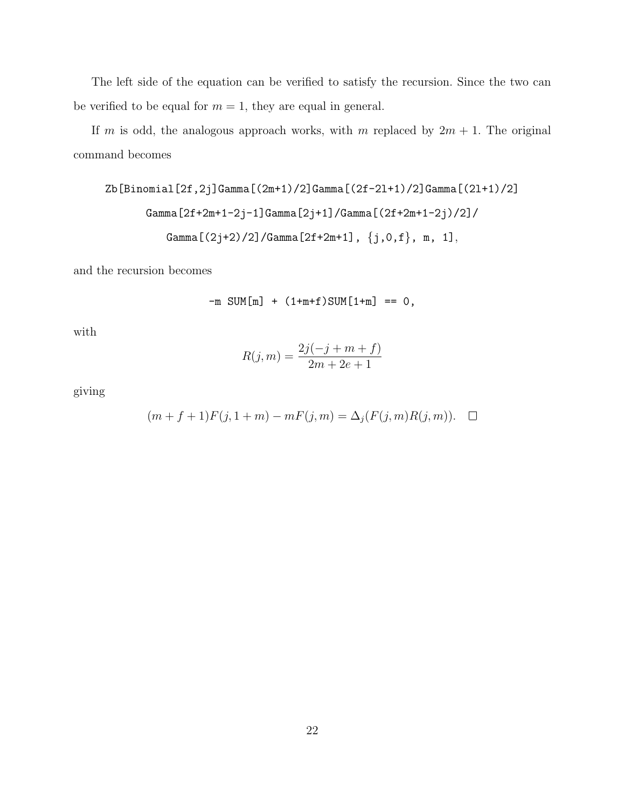The left side of the equation can be verified to satisfy the recursion. Since the two can be verified to be equal for  $m = 1$ , they are equal in general.

If m is odd, the analogous approach works, with m replaced by  $2m + 1$ . The original command becomes

Zb[Binomial[2f,2j]Gamma[(2m+1)/2]Gamma[(2f-2l+1)/2]Gamma[(2l+1)/2] Gamma[2f+2m+1-2j-1]Gamma[2j+1]/Gamma[(2f+2m+1-2j)/2]/ Gamma[(2j+2)/2]/Gamma[2f+2m+1], {j,0,f}, m, 1],

and the recursion becomes

$$
-m \text{ SUM}[m] + (1+m+f)\text{SUM}[1+m] == 0,
$$

with

$$
R(j, m) = \frac{2j(-j + m + f)}{2m + 2e + 1}
$$

giving

$$
(m + f + 1)F(j, 1 + m) - mF(j, m) = \Delta_j(F(j, m)R(j, m)). \quad \Box
$$